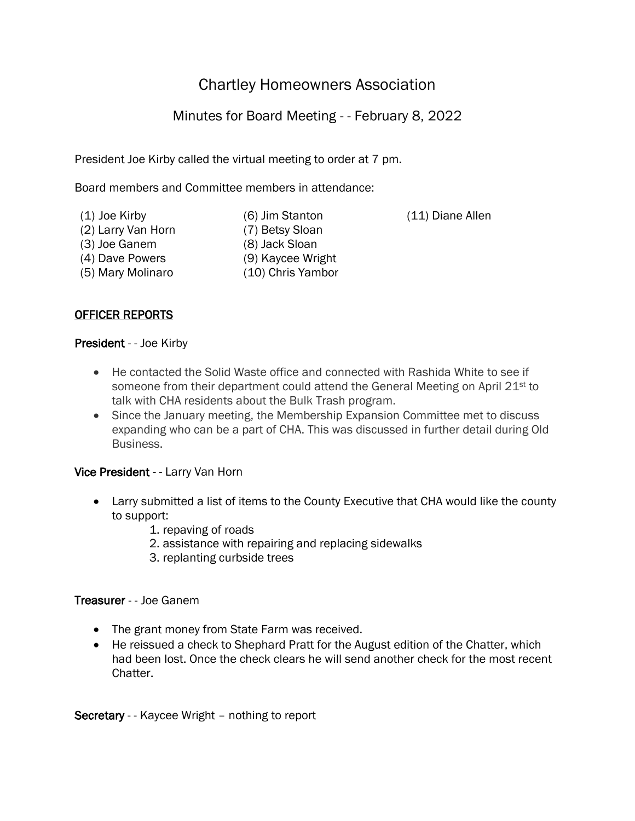# Chartley Homeowners Association

## Minutes for Board Meeting - - February 8, 2022

President Joe Kirby called the virtual meeting to order at 7 pm.

Board members and Committee members in attendance:

(1) Joe Kirby (6) Jim Stanton (11) Diane Allen (2) Larry Van Horn (7) Betsy Sloan (3) Joe Ganem (8) Jack Sloan (4) Dave Powers (9) Kaycee Wright (5) Mary Molinaro (10) Chris Yambor

## OFFICER REPORTS

#### President - - Joe Kirby

- He contacted the Solid Waste office and connected with Rashida White to see if someone from their department could attend the General Meeting on April 21<sup>st</sup> to talk with CHA residents about the Bulk Trash program.
- Since the January meeting, the Membership Expansion Committee met to discuss expanding who can be a part of CHA. This was discussed in further detail during Old Business.

## Vice President - - Larry Van Horn

- Larry submitted a list of items to the County Executive that CHA would like the county to support:
	- 1. repaving of roads
	- 2. assistance with repairing and replacing sidewalks
	- 3. replanting curbside trees

#### Treasurer - - Joe Ganem

- The grant money from State Farm was received.
- He reissued a check to Shephard Pratt for the August edition of the Chatter, which had been lost. Once the check clears he will send another check for the most recent Chatter.

Secretary - - Kaycee Wright – nothing to report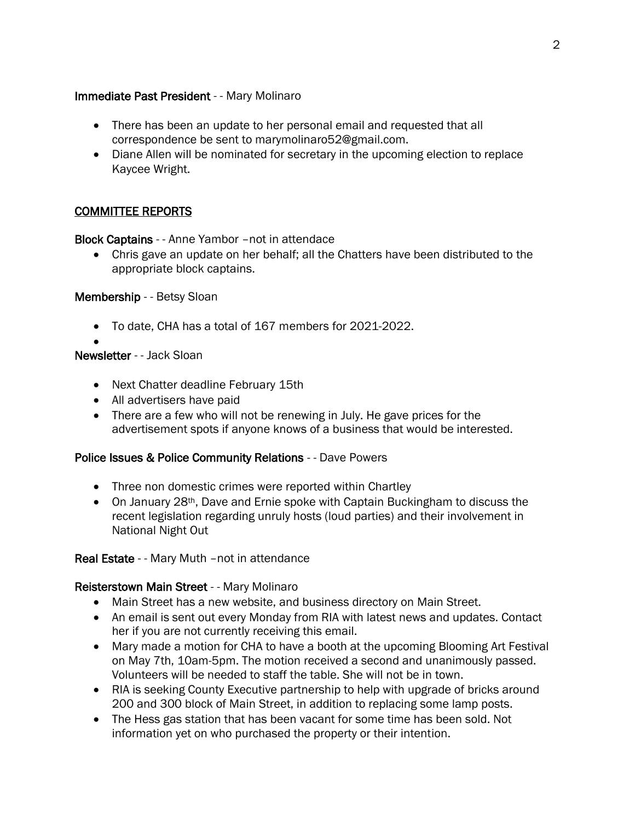#### Immediate Past President - - Mary Molinaro

- There has been an update to her personal email and requested that all correspondence be sent to marymolinaro52@gmail.com.
- Diane Allen will be nominated for secretary in the upcoming election to replace Kaycee Wright.

## COMMITTEE REPORTS

Block Captains - - Anne Yambor –not in attendace

• Chris gave an update on her behalf; all the Chatters have been distributed to the appropriate block captains.

#### Membership - - Betsy Sloan

• To date, CHA has a total of 167 members for 2021-2022.

#### • Newsletter - - Jack Sloan

- Next Chatter deadline February 15th
- All advertisers have paid
- There are a few who will not be renewing in July. He gave prices for the advertisement spots if anyone knows of a business that would be interested.

#### Police Issues & Police Community Relations - - Dave Powers

- Three non domestic crimes were reported within Chartley
- On January 28<sup>th</sup>, Dave and Ernie spoke with Captain Buckingham to discuss the recent legislation regarding unruly hosts (loud parties) and their involvement in National Night Out

## Real Estate - - Mary Muth –not in attendance

## Reisterstown Main Street - - Mary Molinaro

- Main Street has a new website, and business directory on Main Street.
- An email is sent out every Monday from RIA with latest news and updates. Contact her if you are not currently receiving this email.
- Mary made a motion for CHA to have a booth at the upcoming Blooming Art Festival on May 7th, 10am-5pm. The motion received a second and unanimously passed. Volunteers will be needed to staff the table. She will not be in town.
- RIA is seeking County Executive partnership to help with upgrade of bricks around 200 and 300 block of Main Street, in addition to replacing some lamp posts.
- The Hess gas station that has been vacant for some time has been sold. Not information yet on who purchased the property or their intention.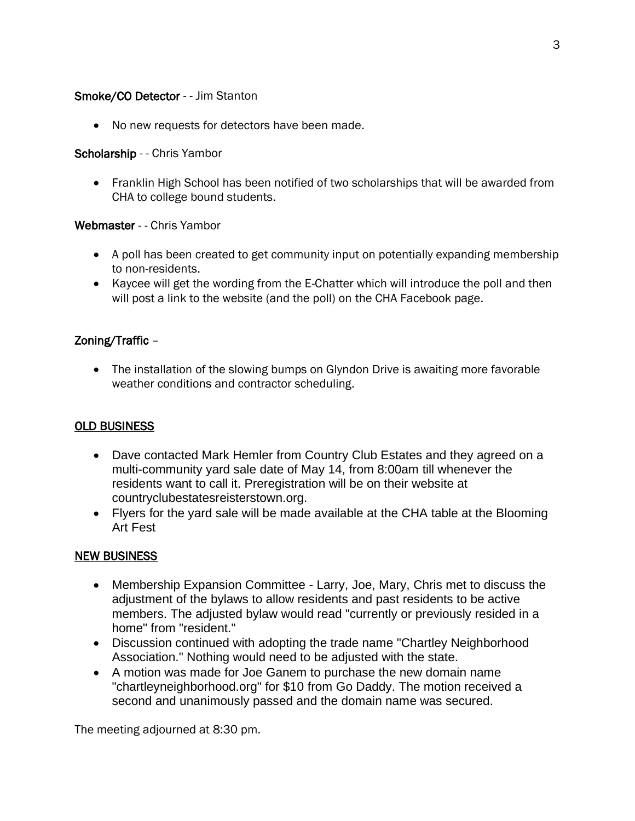#### Smoke/CO Detector - - Jim Stanton

• No new requests for detectors have been made.

#### Scholarship - - Chris Yambor

• Franklin High School has been notified of two scholarships that will be awarded from CHA to college bound students.

#### Webmaster - - Chris Yambor

- A poll has been created to get community input on potentially expanding membership to non-residents.
- Kaycee will get the wording from the E-Chatter which will introduce the poll and then will post a link to the website (and the poll) on the CHA Facebook page.

## Zoning/Traffic –

• The installation of the slowing bumps on Glyndon Drive is awaiting more favorable weather conditions and contractor scheduling.

## OLD BUSINESS

- Dave contacted Mark Hemler from Country Club Estates and they agreed on a multi-community yard sale date of May 14, from 8:00am till whenever the residents want to call it. Preregistration will be on their website at countryclubestatesreisterstown.org.
- Flyers for the yard sale will be made available at the CHA table at the Blooming Art Fest

## NEW BUSINESS

- Membership Expansion Committee Larry, Joe, Mary, Chris met to discuss the adjustment of the bylaws to allow residents and past residents to be active members. The adjusted bylaw would read "currently or previously resided in a home" from "resident."
- Discussion continued with adopting the trade name "Chartley Neighborhood Association." Nothing would need to be adjusted with the state.
- A motion was made for Joe Ganem to purchase the new domain name "chartleyneighborhood.org" for \$10 from Go Daddy. The motion received a second and unanimously passed and the domain name was secured.

The meeting adjourned at 8:30 pm.